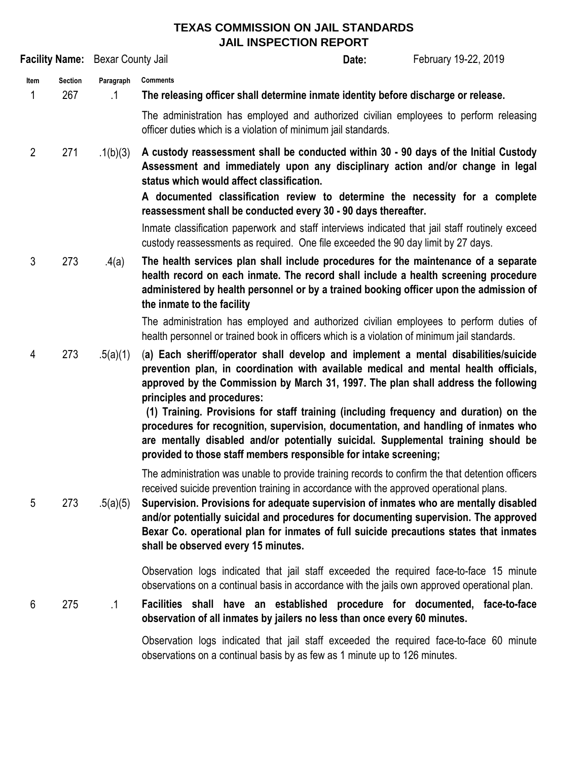## **TEXAS COMMISSION ON JAIL STANDARDS JAIL INSPECTION REPORT**

|                |                       | Facility Name: Bexar County Jail |                                                                                                                                                                                                                                                                                                                                                                                                                                                                                                                                                                                                                                            | Date: | February 19-22, 2019 |
|----------------|-----------------------|----------------------------------|--------------------------------------------------------------------------------------------------------------------------------------------------------------------------------------------------------------------------------------------------------------------------------------------------------------------------------------------------------------------------------------------------------------------------------------------------------------------------------------------------------------------------------------------------------------------------------------------------------------------------------------------|-------|----------------------|
| Item<br>1      | <b>Section</b><br>267 | Paragraph<br>$\cdot$ 1           | <b>Comments</b><br>The releasing officer shall determine inmate identity before discharge or release.                                                                                                                                                                                                                                                                                                                                                                                                                                                                                                                                      |       |                      |
|                |                       |                                  | The administration has employed and authorized civilian employees to perform releasing<br>officer duties which is a violation of minimum jail standards.                                                                                                                                                                                                                                                                                                                                                                                                                                                                                   |       |                      |
| $\overline{2}$ | 271                   | .1(b)(3)                         | A custody reassessment shall be conducted within 30 - 90 days of the Initial Custody<br>Assessment and immediately upon any disciplinary action and/or change in legal<br>status which would affect classification.                                                                                                                                                                                                                                                                                                                                                                                                                        |       |                      |
|                |                       |                                  | A documented classification review to determine the necessity for a complete<br>reassessment shall be conducted every 30 - 90 days thereafter.                                                                                                                                                                                                                                                                                                                                                                                                                                                                                             |       |                      |
|                |                       |                                  | Inmate classification paperwork and staff interviews indicated that jail staff routinely exceed<br>custody reassessments as required. One file exceeded the 90 day limit by 27 days.                                                                                                                                                                                                                                                                                                                                                                                                                                                       |       |                      |
| 3              | 273                   | .4(a)                            | The health services plan shall include procedures for the maintenance of a separate<br>health record on each inmate. The record shall include a health screening procedure<br>administered by health personnel or by a trained booking officer upon the admission of<br>the inmate to the facility                                                                                                                                                                                                                                                                                                                                         |       |                      |
|                |                       |                                  | The administration has employed and authorized civilian employees to perform duties of<br>health personnel or trained book in officers which is a violation of minimum jail standards.                                                                                                                                                                                                                                                                                                                                                                                                                                                     |       |                      |
| 4              | 273                   | .5(a)(1)                         | (a) Each sheriff/operator shall develop and implement a mental disabilities/suicide<br>prevention plan, in coordination with available medical and mental health officials,<br>approved by the Commission by March 31, 1997. The plan shall address the following<br>principles and procedures:<br>(1) Training. Provisions for staff training (including frequency and duration) on the<br>procedures for recognition, supervision, documentation, and handling of inmates who<br>are mentally disabled and/or potentially suicidal. Supplemental training should be<br>provided to those staff members responsible for intake screening; |       |                      |
| 5              | 273                   | .5(a)(5)                         | The administration was unable to provide training records to confirm the that detention officers<br>received suicide prevention training in accordance with the approved operational plans.<br>Supervision. Provisions for adequate supervision of inmates who are mentally disabled<br>and/or potentially suicidal and procedures for documenting supervision. The approved<br>Bexar Co. operational plan for inmates of full suicide precautions states that inmates<br>shall be observed every 15 minutes.                                                                                                                              |       |                      |
|                |                       |                                  | Observation logs indicated that jail staff exceeded the required face-to-face 15 minute<br>observations on a continual basis in accordance with the jails own approved operational plan.                                                                                                                                                                                                                                                                                                                                                                                                                                                   |       |                      |
| 6              | 275                   | $\cdot$ 1                        | Facilities shall have an established procedure for documented, face-to-face<br>observation of all inmates by jailers no less than once every 60 minutes.                                                                                                                                                                                                                                                                                                                                                                                                                                                                                   |       |                      |
|                |                       |                                  | Observation logs indicated that jail staff exceeded the required face-to-face 60 minute<br>observations on a continual basis by as few as 1 minute up to 126 minutes.                                                                                                                                                                                                                                                                                                                                                                                                                                                                      |       |                      |